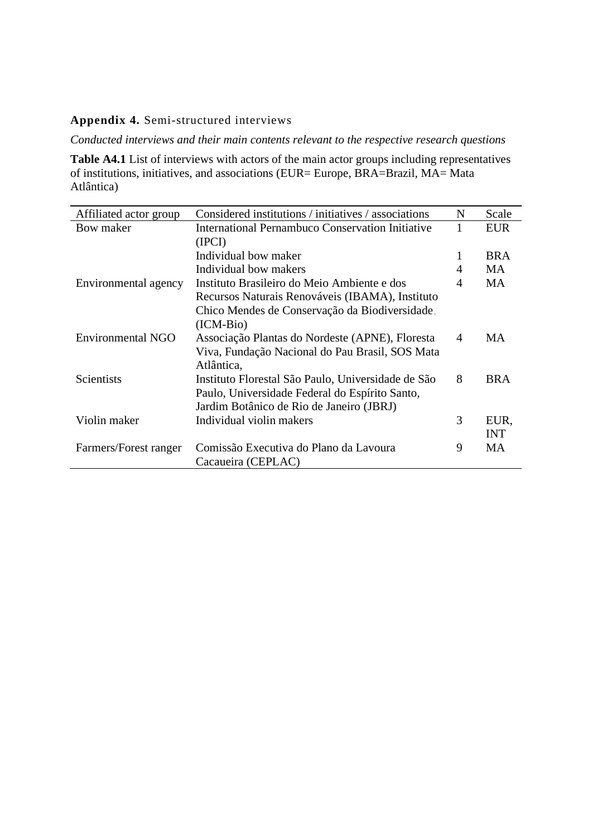# **Appendix 4.** Semi-structured interviews

*Conducted interviews and their main contents relevant to the respective research questions*

Table A4.1 List of interviews with actors of the main actor groups including representatives of institutions, initiatives, and associations (EUR= Europe, BRA=Brazil, MA= Mata Atlântica)

| Affiliated actor group | Considered institutions / initiatives / associations | N | Scale      |
|------------------------|------------------------------------------------------|---|------------|
| Bow maker              | International Pernambuco Conservation Initiative     |   | <b>EUR</b> |
|                        | (IPCI)                                               |   |            |
|                        | Individual bow maker                                 | 1 | <b>BRA</b> |
|                        | Individual bow makers                                | 4 | <b>MA</b>  |
| Environmental agency   | Instituto Brasileiro do Meio Ambiente e dos          | 4 | <b>MA</b>  |
|                        | Recursos Naturais Renováveis (IBAMA), Instituto      |   |            |
|                        | Chico Mendes de Conservação da Biodiversidade,       |   |            |
|                        | (ICM-Bio)                                            |   |            |
| Environmental NGO      | Associação Plantas do Nordeste (APNE), Floresta      | 4 | MA         |
|                        | Viva, Fundação Nacional do Pau Brasil, SOS Mata      |   |            |
|                        | Atlântica,                                           |   |            |
| <b>Scientists</b>      | Instituto Florestal São Paulo, Universidade de São   | 8 | <b>BRA</b> |
|                        | Paulo, Universidade Federal do Espírito Santo,       |   |            |
|                        | Jardim Botânico de Rio de Janeiro (JBRJ)             |   |            |
| Violin maker           | Individual violin makers                             | 3 | EUR,       |
|                        |                                                      |   | <b>INT</b> |
| Farmers/Forest ranger  | Comissão Executiva do Plano da Lavoura               | 9 | <b>MA</b>  |
|                        | Cacaueira (CEPLAC)                                   |   |            |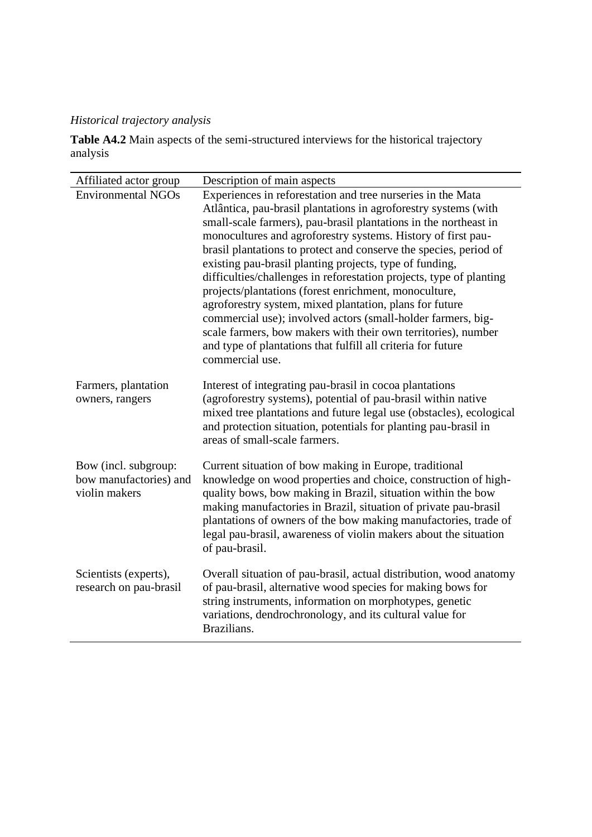# *Historical trajectory analysis*

**Table A4.2** Main aspects of the semi-structured interviews for the historical trajectory analysis

| Affiliated actor group                                          | Description of main aspects                                                                                                                                                                                                                                                                                                                                                                                                                                                                                                                                                                                                                                                                                                                                                                                       |  |
|-----------------------------------------------------------------|-------------------------------------------------------------------------------------------------------------------------------------------------------------------------------------------------------------------------------------------------------------------------------------------------------------------------------------------------------------------------------------------------------------------------------------------------------------------------------------------------------------------------------------------------------------------------------------------------------------------------------------------------------------------------------------------------------------------------------------------------------------------------------------------------------------------|--|
| <b>Environmental NGOs</b>                                       | Experiences in reforestation and tree nurseries in the Mata<br>Atlântica, pau-brasil plantations in agroforestry systems (with<br>small-scale farmers), pau-brasil plantations in the northeast in<br>monocultures and agroforestry systems. History of first pau-<br>brasil plantations to protect and conserve the species, period of<br>existing pau-brasil planting projects, type of funding,<br>difficulties/challenges in reforestation projects, type of planting<br>projects/plantations (forest enrichment, monoculture,<br>agroforestry system, mixed plantation, plans for future<br>commercial use); involved actors (small-holder farmers, big-<br>scale farmers, bow makers with their own territories), number<br>and type of plantations that fulfill all criteria for future<br>commercial use. |  |
| Farmers, plantation<br>owners, rangers                          | Interest of integrating pau-brasil in cocoa plantations<br>(agroforestry systems), potential of pau-brasil within native<br>mixed tree plantations and future legal use (obstacles), ecological<br>and protection situation, potentials for planting pau-brasil in<br>areas of small-scale farmers.                                                                                                                                                                                                                                                                                                                                                                                                                                                                                                               |  |
| Bow (incl. subgroup:<br>bow manufactories) and<br>violin makers | Current situation of bow making in Europe, traditional<br>knowledge on wood properties and choice, construction of high-<br>quality bows, bow making in Brazil, situation within the bow<br>making manufactories in Brazil, situation of private pau-brasil<br>plantations of owners of the bow making manufactories, trade of<br>legal pau-brasil, awareness of violin makers about the situation<br>of pau-brasil.                                                                                                                                                                                                                                                                                                                                                                                              |  |
| Scientists (experts),<br>research on pau-brasil                 | Overall situation of pau-brasil, actual distribution, wood anatomy<br>of pau-brasil, alternative wood species for making bows for<br>string instruments, information on morphotypes, genetic<br>variations, dendrochronology, and its cultural value for<br>Brazilians.                                                                                                                                                                                                                                                                                                                                                                                                                                                                                                                                           |  |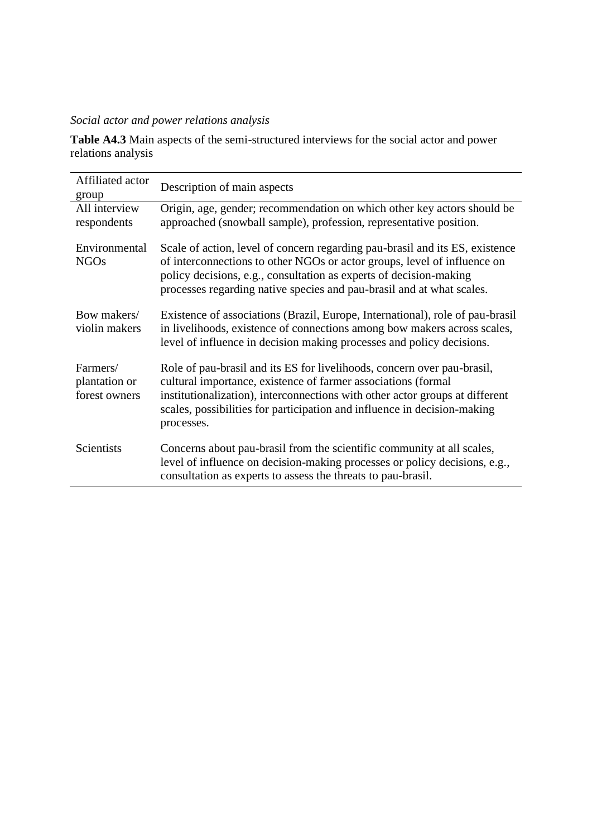# *Social actor and power relations analysis*

**Table A4.3** Main aspects of the semi-structured interviews for the social actor and power relations analysis

| Affiliated actor<br>group                  | Description of main aspects                                                                                                                                                                                                                                                                                        |
|--------------------------------------------|--------------------------------------------------------------------------------------------------------------------------------------------------------------------------------------------------------------------------------------------------------------------------------------------------------------------|
| All interview<br>respondents               | Origin, age, gender; recommendation on which other key actors should be<br>approached (snowball sample), profession, representative position.                                                                                                                                                                      |
| Environmental<br><b>NGOs</b>               | Scale of action, level of concern regarding pau-brasil and its ES, existence<br>of interconnections to other NGOs or actor groups, level of influence on<br>policy decisions, e.g., consultation as experts of decision-making<br>processes regarding native species and pau-brasil and at what scales.            |
| Bow makers/<br>violin makers               | Existence of associations (Brazil, Europe, International), role of pau-brasil<br>in livelihoods, existence of connections among bow makers across scales,<br>level of influence in decision making processes and policy decisions.                                                                                 |
| Farmers/<br>plantation or<br>forest owners | Role of pau-brasil and its ES for livelihoods, concern over pau-brasil,<br>cultural importance, existence of farmer associations (formal<br>institutionalization), interconnections with other actor groups at different<br>scales, possibilities for participation and influence in decision-making<br>processes. |
| Scientists                                 | Concerns about pau-brasil from the scientific community at all scales,<br>level of influence on decision-making processes or policy decisions, e.g.,<br>consultation as experts to assess the threats to pau-brasil.                                                                                               |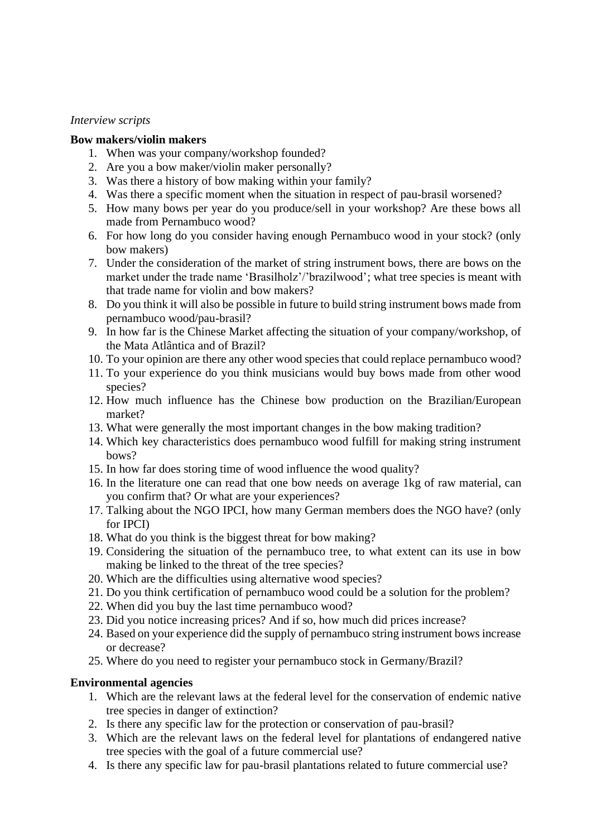#### *Interview scripts*

#### **Bow makers/violin makers**

- 1. When was your company/workshop founded?
- 2. Are you a bow maker/violin maker personally?
- 3. Was there a history of bow making within your family?
- 4. Was there a specific moment when the situation in respect of pau-brasil worsened?
- 5. How many bows per year do you produce/sell in your workshop? Are these bows all made from Pernambuco wood?
- 6. For how long do you consider having enough Pernambuco wood in your stock? (only bow makers)
- 7. Under the consideration of the market of string instrument bows, there are bows on the market under the trade name 'Brasilholz'/'brazilwood'; what tree species is meant with that trade name for violin and bow makers?
- 8. Do you think it will also be possible in future to build string instrument bows made from pernambuco wood/pau-brasil?
- 9. In how far is the Chinese Market affecting the situation of your company/workshop, of the Mata Atlântica and of Brazil?
- 10. To your opinion are there any other wood species that could replace pernambuco wood?
- 11. To your experience do you think musicians would buy bows made from other wood species?
- 12. How much influence has the Chinese bow production on the Brazilian/European market?
- 13. What were generally the most important changes in the bow making tradition?
- 14. Which key characteristics does pernambuco wood fulfill for making string instrument bows?
- 15. In how far does storing time of wood influence the wood quality?
- 16. In the literature one can read that one bow needs on average 1kg of raw material, can you confirm that? Or what are your experiences?
- 17. Talking about the NGO IPCI, how many German members does the NGO have? (only for IPCI)
- 18. What do you think is the biggest threat for bow making?
- 19. Considering the situation of the pernambuco tree, to what extent can its use in bow making be linked to the threat of the tree species?
- 20. Which are the difficulties using alternative wood species?
- 21. Do you think certification of pernambuco wood could be a solution for the problem?
- 22. When did you buy the last time pernambuco wood?
- 23. Did you notice increasing prices? And if so, how much did prices increase?
- 24. Based on your experience did the supply of pernambuco string instrument bows increase or decrease?
- 25. Where do you need to register your pernambuco stock in Germany/Brazil?

# **Environmental agencies**

- 1. Which are the relevant laws at the federal level for the conservation of endemic native tree species in danger of extinction?
- 2. Is there any specific law for the protection or conservation of pau-brasil?
- 3. Which are the relevant laws on the federal level for plantations of endangered native tree species with the goal of a future commercial use?
- 4. Is there any specific law for pau-brasil plantations related to future commercial use?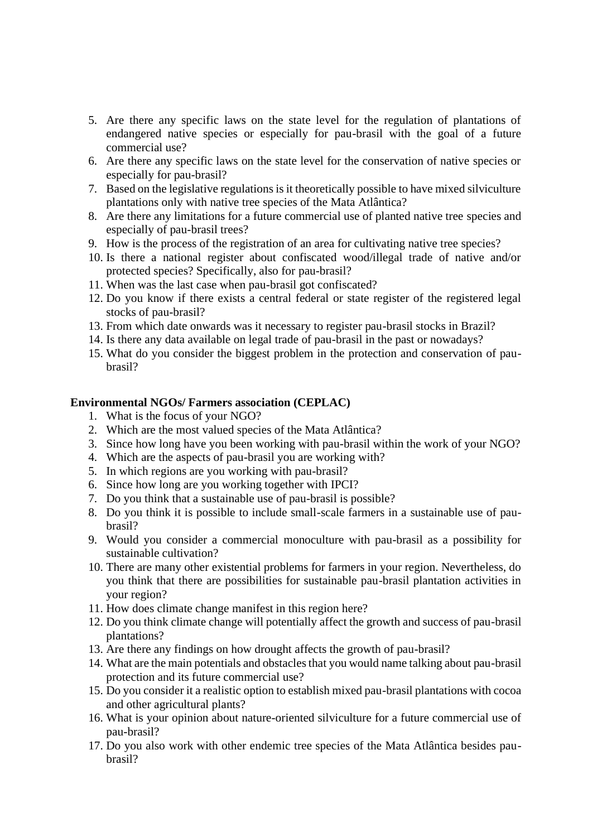- 5. Are there any specific laws on the state level for the regulation of plantations of endangered native species or especially for pau-brasil with the goal of a future commercial use?
- 6. Are there any specific laws on the state level for the conservation of native species or especially for pau-brasil?
- 7. Based on the legislative regulations is it theoretically possible to have mixed silviculture plantations only with native tree species of the Mata Atlântica?
- 8. Are there any limitations for a future commercial use of planted native tree species and especially of pau-brasil trees?
- 9. How is the process of the registration of an area for cultivating native tree species?
- 10. Is there a national register about confiscated wood/illegal trade of native and/or protected species? Specifically, also for pau-brasil?
- 11. When was the last case when pau-brasil got confiscated?
- 12. Do you know if there exists a central federal or state register of the registered legal stocks of pau-brasil?
- 13. From which date onwards was it necessary to register pau-brasil stocks in Brazil?
- 14. Is there any data available on legal trade of pau-brasil in the past or nowadays?
- 15. What do you consider the biggest problem in the protection and conservation of paubrasil?

## **Environmental NGOs/ Farmers association (CEPLAC)**

- 1. What is the focus of your NGO?
- 2. Which are the most valued species of the Mata Atlântica?
- 3. Since how long have you been working with pau-brasil within the work of your NGO?
- 4. Which are the aspects of pau-brasil you are working with?
- 5. In which regions are you working with pau-brasil?
- 6. Since how long are you working together with IPCI?
- 7. Do you think that a sustainable use of pau-brasil is possible?
- 8. Do you think it is possible to include small-scale farmers in a sustainable use of paubrasil?
- 9. Would you consider a commercial monoculture with pau-brasil as a possibility for sustainable cultivation?
- 10. There are many other existential problems for farmers in your region. Nevertheless, do you think that there are possibilities for sustainable pau-brasil plantation activities in your region?
- 11. How does climate change manifest in this region here?
- 12. Do you think climate change will potentially affect the growth and success of pau-brasil plantations?
- 13. Are there any findings on how drought affects the growth of pau-brasil?
- 14. What are the main potentials and obstacles that you would name talking about pau-brasil protection and its future commercial use?
- 15. Do you consider it a realistic option to establish mixed pau-brasil plantations with cocoa and other agricultural plants?
- 16. What is your opinion about nature-oriented silviculture for a future commercial use of pau-brasil?
- 17. Do you also work with other endemic tree species of the Mata Atlântica besides paubrasil?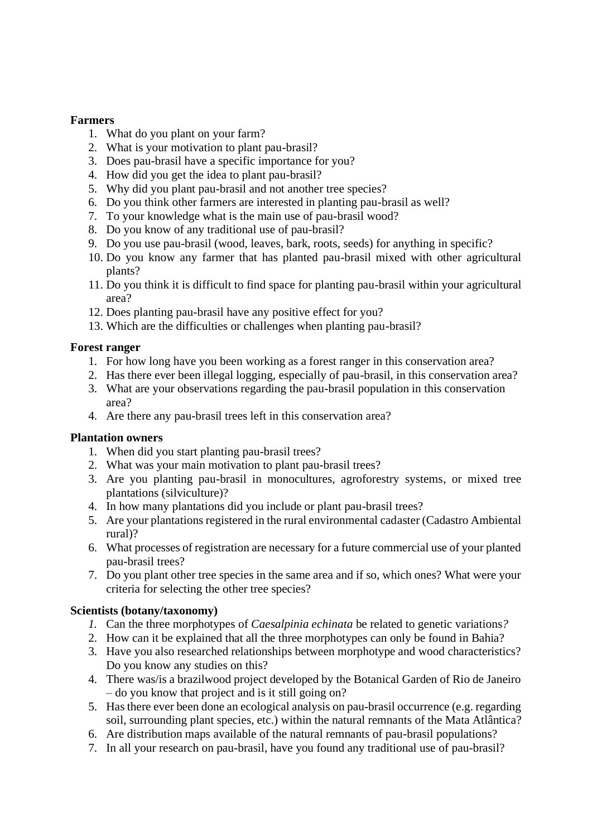## **Farmers**

- 1. What do you plant on your farm?
- 2. What is your motivation to plant pau-brasil?
- 3. Does pau-brasil have a specific importance for you?
- 4. How did you get the idea to plant pau-brasil?
- 5. Why did you plant pau-brasil and not another tree species?
- 6. Do you think other farmers are interested in planting pau-brasil as well?
- 7. To your knowledge what is the main use of pau-brasil wood?
- 8. Do you know of any traditional use of pau-brasil?
- 9. Do you use pau-brasil (wood, leaves, bark, roots, seeds) for anything in specific?
- 10. Do you know any farmer that has planted pau-brasil mixed with other agricultural plants?
- 11. Do you think it is difficult to find space for planting pau-brasil within your agricultural area?
- 12. Does planting pau-brasil have any positive effect for you?
- 13. Which are the difficulties or challenges when planting pau-brasil?

## **Forest ranger**

- 1. For how long have you been working as a forest ranger in this conservation area?
- 2. Has there ever been illegal logging, especially of pau-brasil, in this conservation area?
- 3. What are your observations regarding the pau-brasil population in this conservation area?
- 4. Are there any pau-brasil trees left in this conservation area?

#### **Plantation owners**

- 1. When did you start planting pau-brasil trees?
- 2. What was your main motivation to plant pau-brasil trees?
- 3. Are you planting pau-brasil in monocultures, agroforestry systems, or mixed tree plantations (silviculture)?
- 4. In how many plantations did you include or plant pau-brasil trees?
- 5. Are your plantations registered in the rural environmental cadaster (Cadastro Ambiental rural)?
- 6. What processes of registration are necessary for a future commercial use of your planted pau-brasil trees?
- 7. Do you plant other tree species in the same area and if so, which ones? What were your criteria for selecting the other tree species?

#### **Scientists (botany/taxonomy)**

- *1.* Can the three morphotypes of *Caesalpinia echinata* be related to genetic variations*?*
- 2. How can it be explained that all the three morphotypes can only be found in Bahia?
- 3. Have you also researched relationships between morphotype and wood characteristics? Do you know any studies on this?
- 4. There was/is a brazilwood project developed by the Botanical Garden of Rio de Janeiro – do you know that project and is it still going on?
- 5. Has there ever been done an ecological analysis on pau-brasil occurrence (e.g. regarding soil, surrounding plant species, etc.) within the natural remnants of the Mata Atlântica?
- 6. Are distribution maps available of the natural remnants of pau-brasil populations?
- 7. In all your research on pau-brasil, have you found any traditional use of pau-brasil?